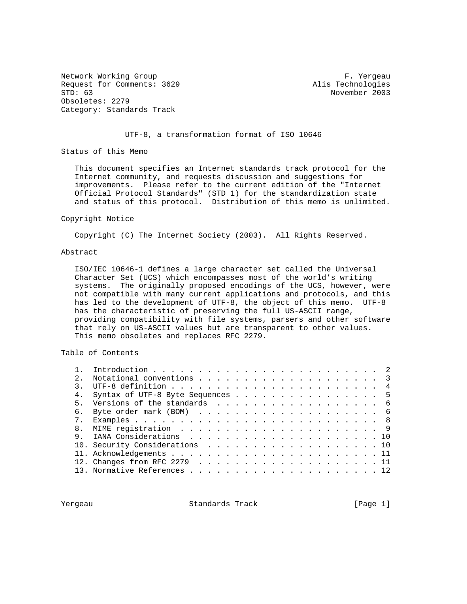Network Working Group Theory of the Contract of the Contract of Theory of Theory and Theory of Theory of Theory Request for Comments: 3629 Alis Technologies Obsoletes: 2279 Category: Standards Track

November 2003

### UTF-8, a transformation format of ISO 10646

Status of this Memo

 This document specifies an Internet standards track protocol for the Internet community, and requests discussion and suggestions for improvements. Please refer to the current edition of the "Internet Official Protocol Standards" (STD 1) for the standardization state and status of this protocol. Distribution of this memo is unlimited.

#### Copyright Notice

Copyright (C) The Internet Society (2003). All Rights Reserved.

#### Abstract

 ISO/IEC 10646-1 defines a large character set called the Universal Character Set (UCS) which encompasses most of the world's writing systems. The originally proposed encodings of the UCS, however, were not compatible with many current applications and protocols, and this has led to the development of UTF-8, the object of this memo. UTF-8 has the characteristic of preserving the full US-ASCII range, providing compatibility with file systems, parsers and other software that rely on US-ASCII values but are transparent to other values. This memo obsoletes and replaces RFC 2279.

Table of Contents

| 2.           |                                  |  |  |  |  |  |  |  |  |  |
|--------------|----------------------------------|--|--|--|--|--|--|--|--|--|
|              |                                  |  |  |  |  |  |  |  |  |  |
| 4.           | Syntax of UTF-8 Byte Sequences 5 |  |  |  |  |  |  |  |  |  |
| $5 -$        | Versions of the standards 6      |  |  |  |  |  |  |  |  |  |
| б.           |                                  |  |  |  |  |  |  |  |  |  |
|              |                                  |  |  |  |  |  |  |  |  |  |
| $\mathsf{R}$ |                                  |  |  |  |  |  |  |  |  |  |
|              |                                  |  |  |  |  |  |  |  |  |  |
|              | 10. Security Considerations 10   |  |  |  |  |  |  |  |  |  |
|              |                                  |  |  |  |  |  |  |  |  |  |
|              |                                  |  |  |  |  |  |  |  |  |  |
|              |                                  |  |  |  |  |  |  |  |  |  |
|              |                                  |  |  |  |  |  |  |  |  |  |

Yergeau Standards Track [Page 1]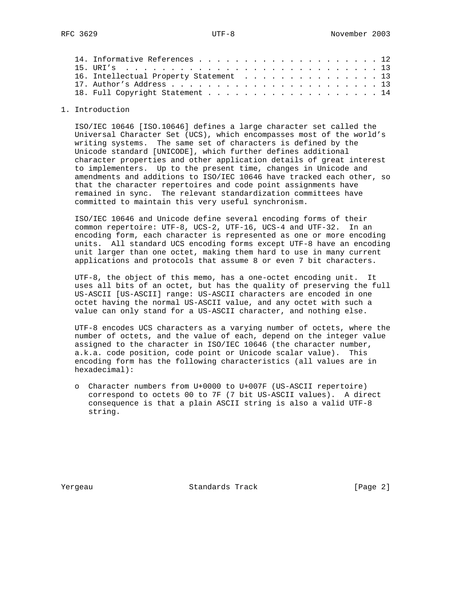|  | 16. Intellectual Property Statement 13 |  |  |  |  |  |  |  |  |
|--|----------------------------------------|--|--|--|--|--|--|--|--|
|  |                                        |  |  |  |  |  |  |  |  |
|  | 18. Full Copyright Statement 14        |  |  |  |  |  |  |  |  |
|  |                                        |  |  |  |  |  |  |  |  |

### 1. Introduction

 ISO/IEC 10646 [ISO.10646] defines a large character set called the Universal Character Set (UCS), which encompasses most of the world's writing systems. The same set of characters is defined by the Unicode standard [UNICODE], which further defines additional character properties and other application details of great interest to implementers. Up to the present time, changes in Unicode and amendments and additions to ISO/IEC 10646 have tracked each other, so that the character repertoires and code point assignments have remained in sync. The relevant standardization committees have committed to maintain this very useful synchronism.

 ISO/IEC 10646 and Unicode define several encoding forms of their common repertoire: UTF-8, UCS-2, UTF-16, UCS-4 and UTF-32. In an encoding form, each character is represented as one or more encoding units. All standard UCS encoding forms except UTF-8 have an encoding unit larger than one octet, making them hard to use in many current applications and protocols that assume 8 or even 7 bit characters.

 UTF-8, the object of this memo, has a one-octet encoding unit. It uses all bits of an octet, but has the quality of preserving the full US-ASCII [US-ASCII] range: US-ASCII characters are encoded in one octet having the normal US-ASCII value, and any octet with such a value can only stand for a US-ASCII character, and nothing else.

 UTF-8 encodes UCS characters as a varying number of octets, where the number of octets, and the value of each, depend on the integer value assigned to the character in ISO/IEC 10646 (the character number, a.k.a. code position, code point or Unicode scalar value). This encoding form has the following characteristics (all values are in hexadecimal):

 o Character numbers from U+0000 to U+007F (US-ASCII repertoire) correspond to octets 00 to 7F (7 bit US-ASCII values). A direct consequence is that a plain ASCII string is also a valid UTF-8 string.

Yergeau Standards Track [Page 2]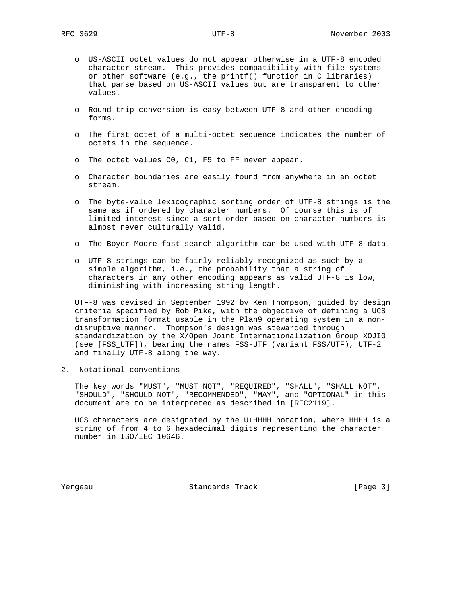- o US-ASCII octet values do not appear otherwise in a UTF-8 encoded character stream. This provides compatibility with file systems or other software (e.g., the printf() function in C libraries) that parse based on US-ASCII values but are transparent to other values.
- o Round-trip conversion is easy between UTF-8 and other encoding forms.
- o The first octet of a multi-octet sequence indicates the number of octets in the sequence.
- o The octet values C0, C1, F5 to FF never appear.
- o Character boundaries are easily found from anywhere in an octet stream.
- o The byte-value lexicographic sorting order of UTF-8 strings is the same as if ordered by character numbers. Of course this is of limited interest since a sort order based on character numbers is almost never culturally valid.
- o The Boyer-Moore fast search algorithm can be used with UTF-8 data.
- o UTF-8 strings can be fairly reliably recognized as such by a simple algorithm, i.e., the probability that a string of characters in any other encoding appears as valid UTF-8 is low, diminishing with increasing string length.

 UTF-8 was devised in September 1992 by Ken Thompson, guided by design criteria specified by Rob Pike, with the objective of defining a UCS transformation format usable in the Plan9 operating system in a non disruptive manner. Thompson's design was stewarded through standardization by the X/Open Joint Internationalization Group XOJIG (see [FSS\_UTF]), bearing the names FSS-UTF (variant FSS/UTF), UTF-2 and finally UTF-8 along the way.

2. Notational conventions

 The key words "MUST", "MUST NOT", "REQUIRED", "SHALL", "SHALL NOT", "SHOULD", "SHOULD NOT", "RECOMMENDED", "MAY", and "OPTIONAL" in this document are to be interpreted as described in [RFC2119].

 UCS characters are designated by the U+HHHH notation, where HHHH is a string of from 4 to 6 hexadecimal digits representing the character number in ISO/IEC 10646.

Yergeau Standards Track [Page 3]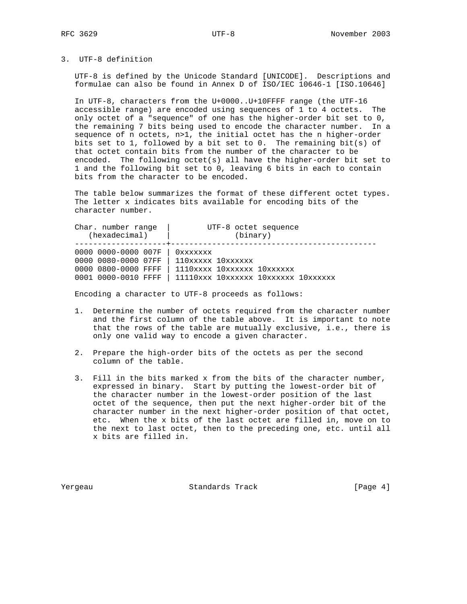# 3. UTF-8 definition

 UTF-8 is defined by the Unicode Standard [UNICODE]. Descriptions and formulae can also be found in Annex D of ISO/IEC 10646-1 [ISO.10646]

 In UTF-8, characters from the U+0000..U+10FFFF range (the UTF-16 accessible range) are encoded using sequences of 1 to 4 octets. The only octet of a "sequence" of one has the higher-order bit set to 0, the remaining 7 bits being used to encode the character number. In a sequence of n octets, n>1, the initial octet has the n higher-order bits set to 1, followed by a bit set to 0. The remaining bit(s) of that octet contain bits from the number of the character to be encoded. The following octet(s) all have the higher-order bit set to 1 and the following bit set to 0, leaving 6 bits in each to contain bits from the character to be encoded.

 The table below summarizes the format of these different octet types. The letter x indicates bits available for encoding bits of the character number.

| Char, number range  | UTF-8 octet sequence                |  |  |  |  |  |  |  |
|---------------------|-------------------------------------|--|--|--|--|--|--|--|
| (hexadecimal)       | (binary)                            |  |  |  |  |  |  |  |
| 0000 0000-0000 007F | Oxxxxxxx                            |  |  |  |  |  |  |  |
| 0000 0080-0000 07FF | $110xxxxx$ $10xxxxx$                |  |  |  |  |  |  |  |
| 0000 0800-0000 FFFF | 1110xxxx 10xxxxxx 10xxxxxx          |  |  |  |  |  |  |  |
| 0001 0000-0010 FFFF | 11110xxx 10xxxxxx 10xxxxxx 10xxxxxx |  |  |  |  |  |  |  |

Encoding a character to UTF-8 proceeds as follows:

- 1. Determine the number of octets required from the character number and the first column of the table above. It is important to note that the rows of the table are mutually exclusive, i.e., there is only one valid way to encode a given character.
- 2. Prepare the high-order bits of the octets as per the second column of the table.
- 3. Fill in the bits marked x from the bits of the character number, expressed in binary. Start by putting the lowest-order bit of the character number in the lowest-order position of the last octet of the sequence, then put the next higher-order bit of the character number in the next higher-order position of that octet, etc. When the x bits of the last octet are filled in, move on to the next to last octet, then to the preceding one, etc. until all x bits are filled in.

Yergeau Standards Track [Page 4]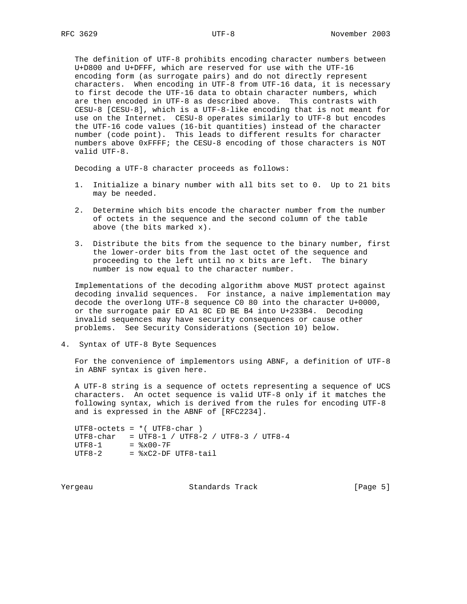The definition of UTF-8 prohibits encoding character numbers between U+D800 and U+DFFF, which are reserved for use with the UTF-16 encoding form (as surrogate pairs) and do not directly represent characters. When encoding in UTF-8 from UTF-16 data, it is necessary to first decode the UTF-16 data to obtain character numbers, which are then encoded in UTF-8 as described above. This contrasts with CESU-8 [CESU-8], which is a UTF-8-like encoding that is not meant for use on the Internet. CESU-8 operates similarly to UTF-8 but encodes the UTF-16 code values (16-bit quantities) instead of the character number (code point). This leads to different results for character numbers above 0xFFFF; the CESU-8 encoding of those characters is NOT valid UTF-8.

Decoding a UTF-8 character proceeds as follows:

- 1. Initialize a binary number with all bits set to 0. Up to 21 bits may be needed.
- 2. Determine which bits encode the character number from the number of octets in the sequence and the second column of the table above (the bits marked x).
- 3. Distribute the bits from the sequence to the binary number, first the lower-order bits from the last octet of the sequence and proceeding to the left until no x bits are left. The binary number is now equal to the character number.

 Implementations of the decoding algorithm above MUST protect against decoding invalid sequences. For instance, a naive implementation may decode the overlong UTF-8 sequence C0 80 into the character U+0000, or the surrogate pair ED A1 8C ED BE B4 into U+233B4. Decoding invalid sequences may have security consequences or cause other problems. See Security Considerations (Section 10) below.

4. Syntax of UTF-8 Byte Sequences

 For the convenience of implementors using ABNF, a definition of UTF-8 in ABNF syntax is given here.

 A UTF-8 string is a sequence of octets representing a sequence of UCS characters. An octet sequence is valid UTF-8 only if it matches the following syntax, which is derived from the rules for encoding UTF-8 and is expressed in the ABNF of [RFC2234].

 $UTF8-octets = *$  ( $UTF8-char$ ) UTF8-char = UTF8-1 / UTF8-2 / UTF8-3 / UTF8-4  $UTF8-1 =  $\&x00-7F$$  $UTF8-2$  =  $xC2-DF UTF8-tail$ 

Yergeau Standards Track [Page 5]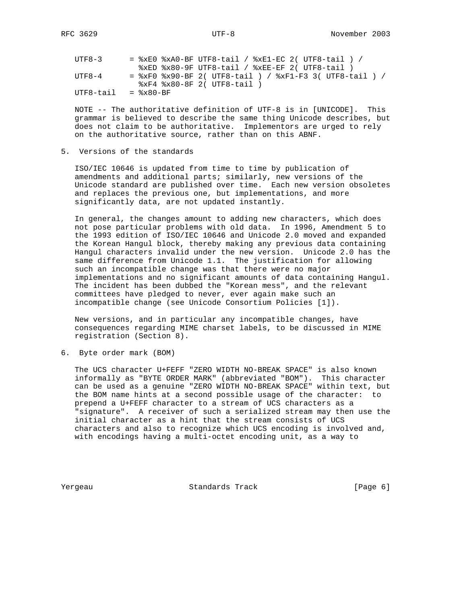| UTF8-3    | $=$ $xE0$ $xA0-BF$ UTF8-tail / $xE1-EC$ 2( UTF8-tail ) /    |
|-----------|-------------------------------------------------------------|
|           | $xED$ $x80-9F$ UTF8-tail / $xE-EF$ 2( UTF8-tail )           |
| TITF8-4   | = $xF0$ $x90-BF$ 2( UTF8-tail ) / $xF1-F3$ 3( UTF8-tail ) / |
|           | $xF4$ $x80-8F$ 2( UTF8-tail )                               |
| UTF8-tail | $=$ $\frac{1}{2} \times 80 - BF$                            |

 NOTE -- The authoritative definition of UTF-8 is in [UNICODE]. This grammar is believed to describe the same thing Unicode describes, but does not claim to be authoritative. Implementors are urged to rely on the authoritative source, rather than on this ABNF.

## 5. Versions of the standards

 ISO/IEC 10646 is updated from time to time by publication of amendments and additional parts; similarly, new versions of the Unicode standard are published over time. Each new version obsoletes and replaces the previous one, but implementations, and more significantly data, are not updated instantly.

 In general, the changes amount to adding new characters, which does not pose particular problems with old data. In 1996, Amendment 5 to the 1993 edition of ISO/IEC 10646 and Unicode 2.0 moved and expanded the Korean Hangul block, thereby making any previous data containing Hangul characters invalid under the new version. Unicode 2.0 has the same difference from Unicode 1.1. The justification for allowing such an incompatible change was that there were no major implementations and no significant amounts of data containing Hangul. The incident has been dubbed the "Korean mess", and the relevant committees have pledged to never, ever again make such an incompatible change (see Unicode Consortium Policies [1]).

 New versions, and in particular any incompatible changes, have consequences regarding MIME charset labels, to be discussed in MIME registration (Section 8).

6. Byte order mark (BOM)

 The UCS character U+FEFF "ZERO WIDTH NO-BREAK SPACE" is also known informally as "BYTE ORDER MARK" (abbreviated "BOM"). This character can be used as a genuine "ZERO WIDTH NO-BREAK SPACE" within text, but the BOM name hints at a second possible usage of the character: to prepend a U+FEFF character to a stream of UCS characters as a "signature". A receiver of such a serialized stream may then use the initial character as a hint that the stream consists of UCS characters and also to recognize which UCS encoding is involved and, with encodings having a multi-octet encoding unit, as a way to

Yergeau Standards Track [Page 6]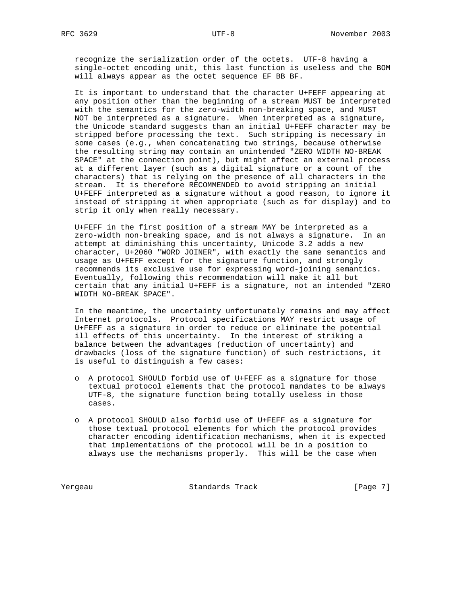recognize the serialization order of the octets. UTF-8 having a single-octet encoding unit, this last function is useless and the BOM will always appear as the octet sequence EF BB BF.

 It is important to understand that the character U+FEFF appearing at any position other than the beginning of a stream MUST be interpreted with the semantics for the zero-width non-breaking space, and MUST NOT be interpreted as a signature. When interpreted as a signature, the Unicode standard suggests than an initial U+FEFF character may be stripped before processing the text. Such stripping is necessary in some cases (e.g., when concatenating two strings, because otherwise the resulting string may contain an unintended "ZERO WIDTH NO-BREAK SPACE" at the connection point), but might affect an external process at a different layer (such as a digital signature or a count of the characters) that is relying on the presence of all characters in the stream. It is therefore RECOMMENDED to avoid stripping an initial U+FEFF interpreted as a signature without a good reason, to ignore it instead of stripping it when appropriate (such as for display) and to strip it only when really necessary.

 U+FEFF in the first position of a stream MAY be interpreted as a zero-width non-breaking space, and is not always a signature. In an attempt at diminishing this uncertainty, Unicode 3.2 adds a new character, U+2060 "WORD JOINER", with exactly the same semantics and usage as U+FEFF except for the signature function, and strongly recommends its exclusive use for expressing word-joining semantics. Eventually, following this recommendation will make it all but certain that any initial U+FEFF is a signature, not an intended "ZERO WIDTH NO-BREAK SPACE".

 In the meantime, the uncertainty unfortunately remains and may affect Internet protocols. Protocol specifications MAY restrict usage of U+FEFF as a signature in order to reduce or eliminate the potential ill effects of this uncertainty. In the interest of striking a balance between the advantages (reduction of uncertainty) and drawbacks (loss of the signature function) of such restrictions, it is useful to distinguish a few cases:

- o A protocol SHOULD forbid use of U+FEFF as a signature for those textual protocol elements that the protocol mandates to be always UTF-8, the signature function being totally useless in those cases.
- o A protocol SHOULD also forbid use of U+FEFF as a signature for those textual protocol elements for which the protocol provides character encoding identification mechanisms, when it is expected that implementations of the protocol will be in a position to always use the mechanisms properly. This will be the case when

Yergeau Standards Track [Page 7]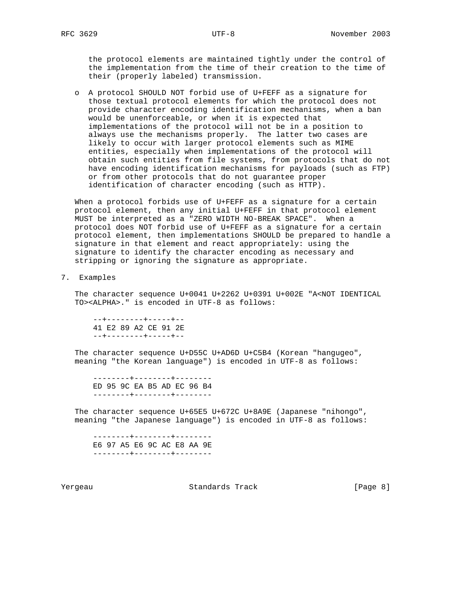the protocol elements are maintained tightly under the control of the implementation from the time of their creation to the time of their (properly labeled) transmission.

 o A protocol SHOULD NOT forbid use of U+FEFF as a signature for those textual protocol elements for which the protocol does not provide character encoding identification mechanisms, when a ban would be unenforceable, or when it is expected that implementations of the protocol will not be in a position to always use the mechanisms properly. The latter two cases are likely to occur with larger protocol elements such as MIME entities, especially when implementations of the protocol will obtain such entities from file systems, from protocols that do not have encoding identification mechanisms for payloads (such as FTP) or from other protocols that do not guarantee proper identification of character encoding (such as HTTP).

 When a protocol forbids use of U+FEFF as a signature for a certain protocol element, then any initial U+FEFF in that protocol element MUST be interpreted as a "ZERO WIDTH NO-BREAK SPACE". When a protocol does NOT forbid use of U+FEFF as a signature for a certain protocol element, then implementations SHOULD be prepared to handle a signature in that element and react appropriately: using the signature to identify the character encoding as necessary and stripping or ignoring the signature as appropriate.

7. Examples

 The character sequence U+0041 U+2262 U+0391 U+002E "A<NOT IDENTICAL TO><ALPHA>." is encoded in UTF-8 as follows:

 --+--------+-----+-- 41 E2 89 A2 CE 91 2E --+--------+-----+--

 The character sequence U+D55C U+AD6D U+C5B4 (Korean "hangugeo", meaning "the Korean language") is encoded in UTF-8 as follows:

 --------+--------+-------- ED 95 9C EA B5 AD EC 96 B4 --------+--------+--------

 The character sequence U+65E5 U+672C U+8A9E (Japanese "nihongo", meaning "the Japanese language") is encoded in UTF-8 as follows:

 --------+--------+-------- E6 97 A5 E6 9C AC E8 AA 9E --------+--------+--------

Yergeau Standards Track [Page 8]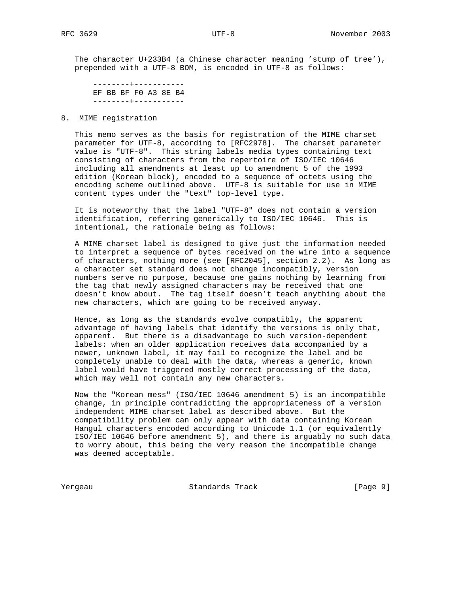The character U+233B4 (a Chinese character meaning 'stump of tree'), prepended with a UTF-8 BOM, is encoded in UTF-8 as follows:

 --------+----------- EF BB BF F0 A3 8E B4 --------+-----------

8. MIME registration

 This memo serves as the basis for registration of the MIME charset parameter for UTF-8, according to [RFC2978]. The charset parameter value is "UTF-8". This string labels media types containing text consisting of characters from the repertoire of ISO/IEC 10646 including all amendments at least up to amendment 5 of the 1993 edition (Korean block), encoded to a sequence of octets using the encoding scheme outlined above. UTF-8 is suitable for use in MIME content types under the "text" top-level type.

 It is noteworthy that the label "UTF-8" does not contain a version identification, referring generically to ISO/IEC 10646. This is intentional, the rationale being as follows:

 A MIME charset label is designed to give just the information needed to interpret a sequence of bytes received on the wire into a sequence of characters, nothing more (see [RFC2045], section 2.2). As long as a character set standard does not change incompatibly, version numbers serve no purpose, because one gains nothing by learning from the tag that newly assigned characters may be received that one doesn't know about. The tag itself doesn't teach anything about the new characters, which are going to be received anyway.

 Hence, as long as the standards evolve compatibly, the apparent advantage of having labels that identify the versions is only that, apparent. But there is a disadvantage to such version-dependent labels: when an older application receives data accompanied by a newer, unknown label, it may fail to recognize the label and be completely unable to deal with the data, whereas a generic, known label would have triggered mostly correct processing of the data, which may well not contain any new characters.

 Now the "Korean mess" (ISO/IEC 10646 amendment 5) is an incompatible change, in principle contradicting the appropriateness of a version independent MIME charset label as described above. But the compatibility problem can only appear with data containing Korean Hangul characters encoded according to Unicode 1.1 (or equivalently ISO/IEC 10646 before amendment 5), and there is arguably no such data to worry about, this being the very reason the incompatible change was deemed acceptable.

Yergeau Standards Track [Page 9]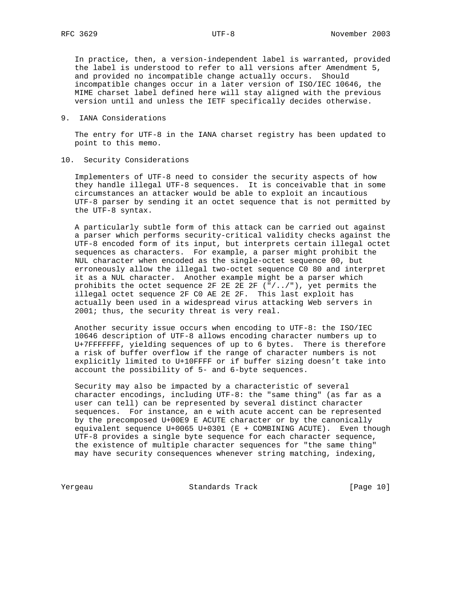In practice, then, a version-independent label is warranted, provided the label is understood to refer to all versions after Amendment 5, and provided no incompatible change actually occurs. Should incompatible changes occur in a later version of ISO/IEC 10646, the MIME charset label defined here will stay aligned with the previous version until and unless the IETF specifically decides otherwise.

### 9. IANA Considerations

 The entry for UTF-8 in the IANA charset registry has been updated to point to this memo.

### 10. Security Considerations

 Implementers of UTF-8 need to consider the security aspects of how they handle illegal UTF-8 sequences. It is conceivable that in some circumstances an attacker would be able to exploit an incautious UTF-8 parser by sending it an octet sequence that is not permitted by the UTF-8 syntax.

 A particularly subtle form of this attack can be carried out against a parser which performs security-critical validity checks against the UTF-8 encoded form of its input, but interprets certain illegal octet sequences as characters. For example, a parser might prohibit the NUL character when encoded as the single-octet sequence 00, but erroneously allow the illegal two-octet sequence C0 80 and interpret it as a NUL character. Another example might be a parser which prohibits the octet sequence 2F 2E 2E 2F ("/../"), yet permits the illegal octet sequence 2F C0 AE 2E 2F. This last exploit has actually been used in a widespread virus attacking Web servers in 2001; thus, the security threat is very real.

 Another security issue occurs when encoding to UTF-8: the ISO/IEC 10646 description of UTF-8 allows encoding character numbers up to U+7FFFFFFF, yielding sequences of up to 6 bytes. There is therefore a risk of buffer overflow if the range of character numbers is not explicitly limited to U+10FFFF or if buffer sizing doesn't take into account the possibility of 5- and 6-byte sequences.

 Security may also be impacted by a characteristic of several character encodings, including UTF-8: the "same thing" (as far as a user can tell) can be represented by several distinct character sequences. For instance, an e with acute accent can be represented by the precomposed U+00E9 E ACUTE character or by the canonically equivalent sequence U+0065 U+0301 (E + COMBINING ACUTE). Even though UTF-8 provides a single byte sequence for each character sequence, the existence of multiple character sequences for "the same thing" may have security consequences whenever string matching, indexing,

Yergeau Standards Track [Page 10]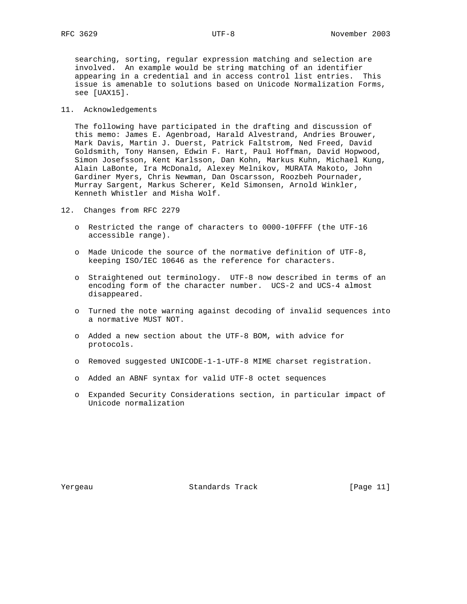searching, sorting, regular expression matching and selection are involved. An example would be string matching of an identifier appearing in a credential and in access control list entries. This issue is amenable to solutions based on Unicode Normalization Forms, see [UAX15].

#### 11. Acknowledgements

 The following have participated in the drafting and discussion of this memo: James E. Agenbroad, Harald Alvestrand, Andries Brouwer, Mark Davis, Martin J. Duerst, Patrick Faltstrom, Ned Freed, David Goldsmith, Tony Hansen, Edwin F. Hart, Paul Hoffman, David Hopwood, Simon Josefsson, Kent Karlsson, Dan Kohn, Markus Kuhn, Michael Kung, Alain LaBonte, Ira McDonald, Alexey Melnikov, MURATA Makoto, John Gardiner Myers, Chris Newman, Dan Oscarsson, Roozbeh Pournader, Murray Sargent, Markus Scherer, Keld Simonsen, Arnold Winkler, Kenneth Whistler and Misha Wolf.

12. Changes from RFC 2279

- o Restricted the range of characters to 0000-10FFFF (the UTF-16 accessible range).
- o Made Unicode the source of the normative definition of UTF-8, keeping ISO/IEC 10646 as the reference for characters.
- o Straightened out terminology. UTF-8 now described in terms of an encoding form of the character number. UCS-2 and UCS-4 almost disappeared.
- o Turned the note warning against decoding of invalid sequences into a normative MUST NOT.
- o Added a new section about the UTF-8 BOM, with advice for protocols.
- o Removed suggested UNICODE-1-1-UTF-8 MIME charset registration.
- o Added an ABNF syntax for valid UTF-8 octet sequences
- o Expanded Security Considerations section, in particular impact of Unicode normalization

Yergeau Standards Track [Page 11]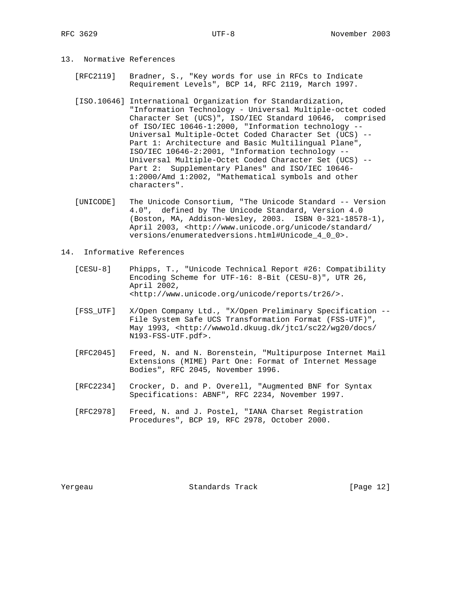- 13. Normative References
	- [RFC2119] Bradner, S., "Key words for use in RFCs to Indicate Requirement Levels", BCP 14, RFC 2119, March 1997.
	- [ISO.10646] International Organization for Standardization, "Information Technology - Universal Multiple-octet coded Character Set (UCS)", ISO/IEC Standard 10646, comprised of ISO/IEC 10646-1:2000, "Information technology -- Universal Multiple-Octet Coded Character Set (UCS) -- Part 1: Architecture and Basic Multilingual Plane", ISO/IEC 10646-2:2001, "Information technology -- Universal Multiple-Octet Coded Character Set (UCS) -- Part 2: Supplementary Planes" and ISO/IEC 10646- 1:2000/Amd 1:2002, "Mathematical symbols and other characters".
	- [UNICODE] The Unicode Consortium, "The Unicode Standard -- Version 4.0", defined by The Unicode Standard, Version 4.0 (Boston, MA, Addison-Wesley, 2003. ISBN 0-321-18578-1), April 2003, <http://www.unicode.org/unicode/standard/ versions/enumeratedversions.html#Unicode\_4\_0\_0>.
- 14. Informative References
	- [CESU-8] Phipps, T., "Unicode Technical Report #26: Compatibility Encoding Scheme for UTF-16: 8-Bit (CESU-8)", UTR 26, April 2002, <http://www.unicode.org/unicode/reports/tr26/>.
	- [FSS\_UTF] X/Open Company Ltd., "X/Open Preliminary Specification -- File System Safe UCS Transformation Format (FSS-UTF)", May 1993, <http://wwwold.dkuug.dk/jtc1/sc22/wg20/docs/ N193-FSS-UTF.pdf>.
	- [RFC2045] Freed, N. and N. Borenstein, "Multipurpose Internet Mail Extensions (MIME) Part One: Format of Internet Message Bodies", RFC 2045, November 1996.
	- [RFC2234] Crocker, D. and P. Overell, "Augmented BNF for Syntax Specifications: ABNF", RFC 2234, November 1997.
	- [RFC2978] Freed, N. and J. Postel, "IANA Charset Registration Procedures", BCP 19, RFC 2978, October 2000.

Yergeau Standards Track [Page 12]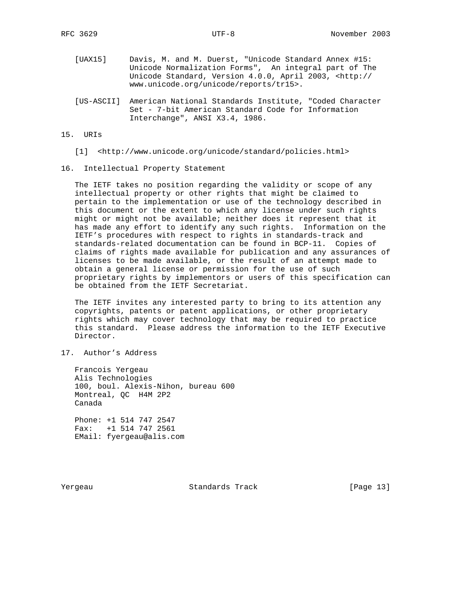- [UAX15] Davis, M. and M. Duerst, "Unicode Standard Annex #15: Unicode Normalization Forms", An integral part of The Unicode Standard, Version 4.0.0, April 2003, <http:// www.unicode.org/unicode/reports/tr15>.
- [US-ASCII] American National Standards Institute, "Coded Character Set - 7-bit American Standard Code for Information Interchange", ANSI X3.4, 1986.

### 15. URIs

[1] <http://www.unicode.org/unicode/standard/policies.html>

#### 16. Intellectual Property Statement

 The IETF takes no position regarding the validity or scope of any intellectual property or other rights that might be claimed to pertain to the implementation or use of the technology described in this document or the extent to which any license under such rights might or might not be available; neither does it represent that it has made any effort to identify any such rights. Information on the IETF's procedures with respect to rights in standards-track and standards-related documentation can be found in BCP-11. Copies of claims of rights made available for publication and any assurances of licenses to be made available, or the result of an attempt made to obtain a general license or permission for the use of such proprietary rights by implementors or users of this specification can be obtained from the IETF Secretariat.

 The IETF invites any interested party to bring to its attention any copyrights, patents or patent applications, or other proprietary rights which may cover technology that may be required to practice this standard. Please address the information to the IETF Executive Director.

17. Author's Address

 Francois Yergeau Alis Technologies 100, boul. Alexis-Nihon, bureau 600 Montreal, QC H4M 2P2 Canada

 Phone: +1 514 747 2547 Fax: +1 514 747 2561 EMail: fyergeau@alis.com

Yergeau Standards Track [Page 13]